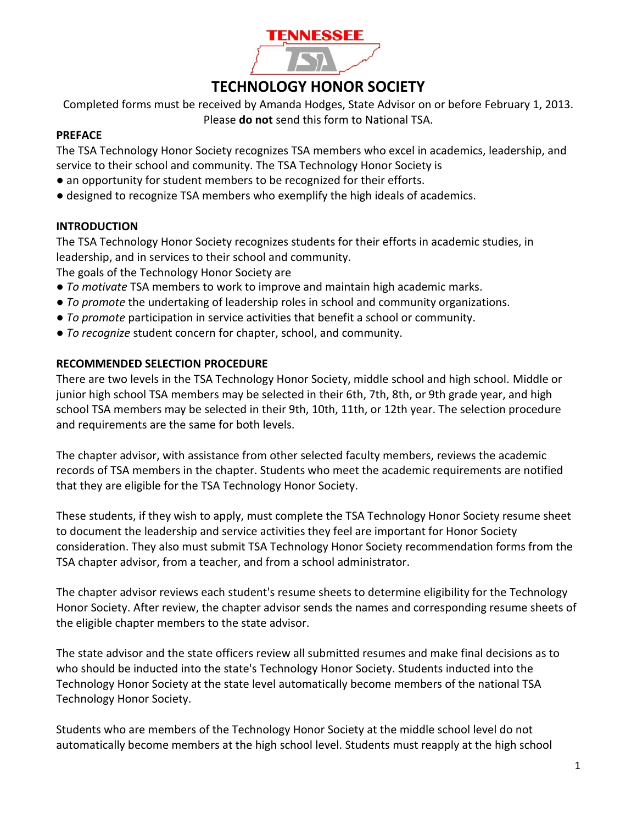

## **TECHNOLOGY HONOR SOCIETY**

Completed forms must be received by Amanda Hodges, State Advisor on or before February 1, 2013. Please **do not** send this form to National TSA.

#### **PREFACE**

The TSA Technology Honor Society recognizes TSA members who excel in academics, leadership, and service to their school and community. The TSA Technology Honor Society is

- an opportunity for student members to be recognized for their efforts.
- designed to recognize TSA members who exemplify the high ideals of academics.

#### **INTRODUCTION**

The TSA Technology Honor Society recognizes students for their efforts in academic studies, in leadership, and in services to their school and community.

The goals of the Technology Honor Society are

- *To motivate* TSA members to work to improve and maintain high academic marks.
- *To promote* the undertaking of leadership roles in school and community organizations.
- *To promote* participation in service activities that benefit a school or community.
- *To recognize* student concern for chapter, school, and community.

#### **RECOMMENDED SELECTION PROCEDURE**

There are two levels in the TSA Technology Honor Society, middle school and high school. Middle or junior high school TSA members may be selected in their 6th, 7th, 8th, or 9th grade year, and high school TSA members may be selected in their 9th, 10th, 11th, or 12th year. The selection procedure and requirements are the same for both levels.

The chapter advisor, with assistance from other selected faculty members, reviews the academic records of TSA members in the chapter. Students who meet the academic requirements are notified that they are eligible for the TSA Technology Honor Society.

These students, if they wish to apply, must complete the TSA Technology Honor Society resume sheet to document the leadership and service activities they feel are important for Honor Society consideration. They also must submit TSA Technology Honor Society recommendation forms from the TSA chapter advisor, from a teacher, and from a school administrator.

The chapter advisor reviews each student's resume sheets to determine eligibility for the Technology Honor Society. After review, the chapter advisor sends the names and corresponding resume sheets of the eligible chapter members to the state advisor.

The state advisor and the state officers review all submitted resumes and make final decisions as to who should be inducted into the state's Technology Honor Society. Students inducted into the Technology Honor Society at the state level automatically become members of the national TSA Technology Honor Society.

Students who are members of the Technology Honor Society at the middle school level do not automatically become members at the high school level. Students must reapply at the high school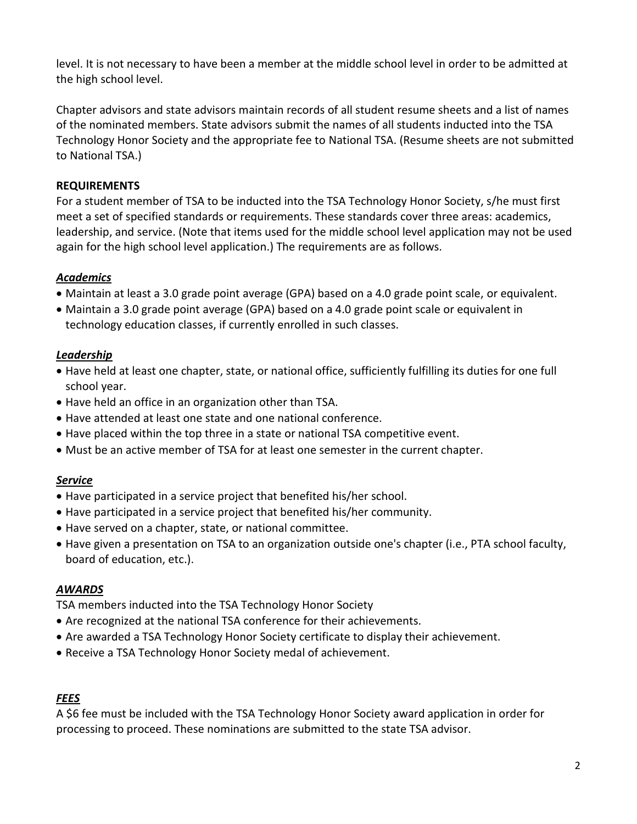level. It is not necessary to have been a member at the middle school level in order to be admitted at the high school level.

Chapter advisors and state advisors maintain records of all student resume sheets and a list of names of the nominated members. State advisors submit the names of all students inducted into the TSA Technology Honor Society and the appropriate fee to National TSA. (Resume sheets are not submitted to National TSA.)

### **REQUIREMENTS**

For a student member of TSA to be inducted into the TSA Technology Honor Society, s/he must first meet a set of specified standards or requirements. These standards cover three areas: academics, leadership, and service. (Note that items used for the middle school level application may not be used again for the high school level application.) The requirements are as follows.

## *Academics*

- Maintain at least a 3.0 grade point average (GPA) based on a 4.0 grade point scale, or equivalent.
- Maintain a 3.0 grade point average (GPA) based on a 4.0 grade point scale or equivalent in technology education classes, if currently enrolled in such classes.

## *Leadership*

- Have held at least one chapter, state, or national office, sufficiently fulfilling its duties for one full school year.
- Have held an office in an organization other than TSA.
- Have attended at least one state and one national conference.
- Have placed within the top three in a state or national TSA competitive event.
- Must be an active member of TSA for at least one semester in the current chapter.

## *Service*

- Have participated in a service project that benefited his/her school.
- Have participated in a service project that benefited his/her community.
- Have served on a chapter, state, or national committee.
- Have given a presentation on TSA to an organization outside one's chapter (i.e., PTA school faculty, board of education, etc.).

## *AWARDS*

TSA members inducted into the TSA Technology Honor Society

- Are recognized at the national TSA conference for their achievements.
- Are awarded a TSA Technology Honor Society certificate to display their achievement.
- Receive a TSA Technology Honor Society medal of achievement.

## *FEES*

A \$6 fee must be included with the TSA Technology Honor Society award application in order for processing to proceed. These nominations are submitted to the state TSA advisor.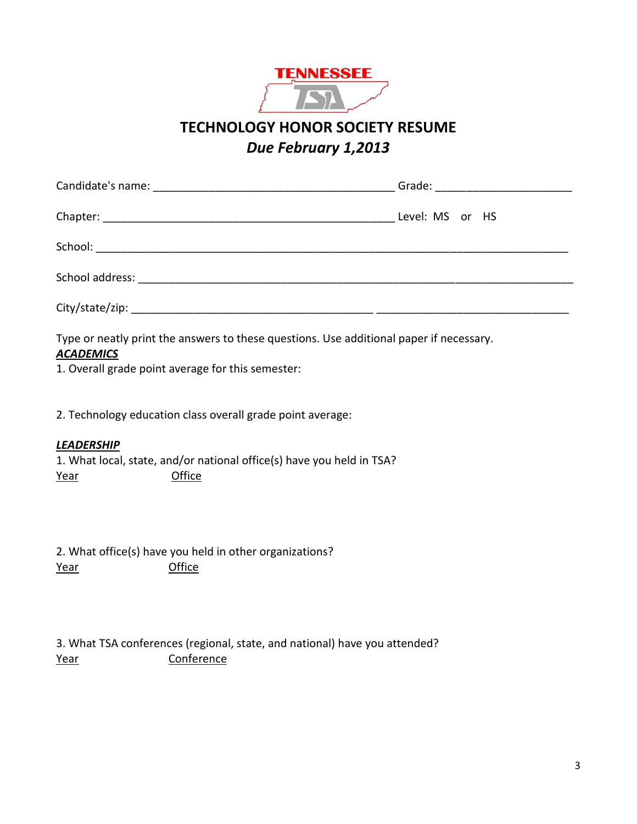

**TECHNOLOGY HONOR SOCIETY RESUME** *Due February 1,2013*

| Level: MS or HS |  |  |  |  |  |
|-----------------|--|--|--|--|--|
|                 |  |  |  |  |  |
|                 |  |  |  |  |  |
|                 |  |  |  |  |  |

Type or neatly print the answers to these questions. Use additional paper if necessary.

# *ACADEMICS*

1. Overall grade point average for this semester:

2. Technology education class overall grade point average:

#### *LEADERSHIP*

1. What local, state, and/or national office(s) have you held in TSA? Year **Office** 

2. What office(s) have you held in other organizations? Year **Office** 

3. What TSA conferences (regional, state, and national) have you attended? Year Conference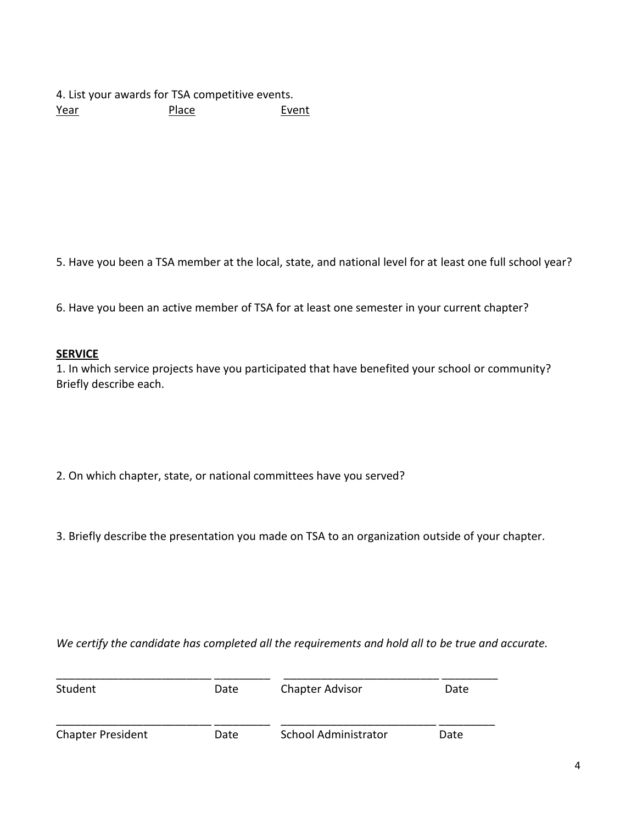4. List your awards for TSA competitive events. Year Place Event

5. Have you been a TSA member at the local, state, and national level for at least one full school year?

6. Have you been an active member of TSA for at least one semester in your current chapter?

#### **SERVICE**

1. In which service projects have you participated that have benefited your school or community? Briefly describe each.

- 2. On which chapter, state, or national committees have you served?
- 3. Briefly describe the presentation you made on TSA to an organization outside of your chapter.

*We certify the candidate has completed all the requirements and hold all to be true and accurate.* 

| Student                  | Date | <b>Chapter Advisor</b>      | Date |  |
|--------------------------|------|-----------------------------|------|--|
| <b>Chapter President</b> | Date | <b>School Administrator</b> | Date |  |